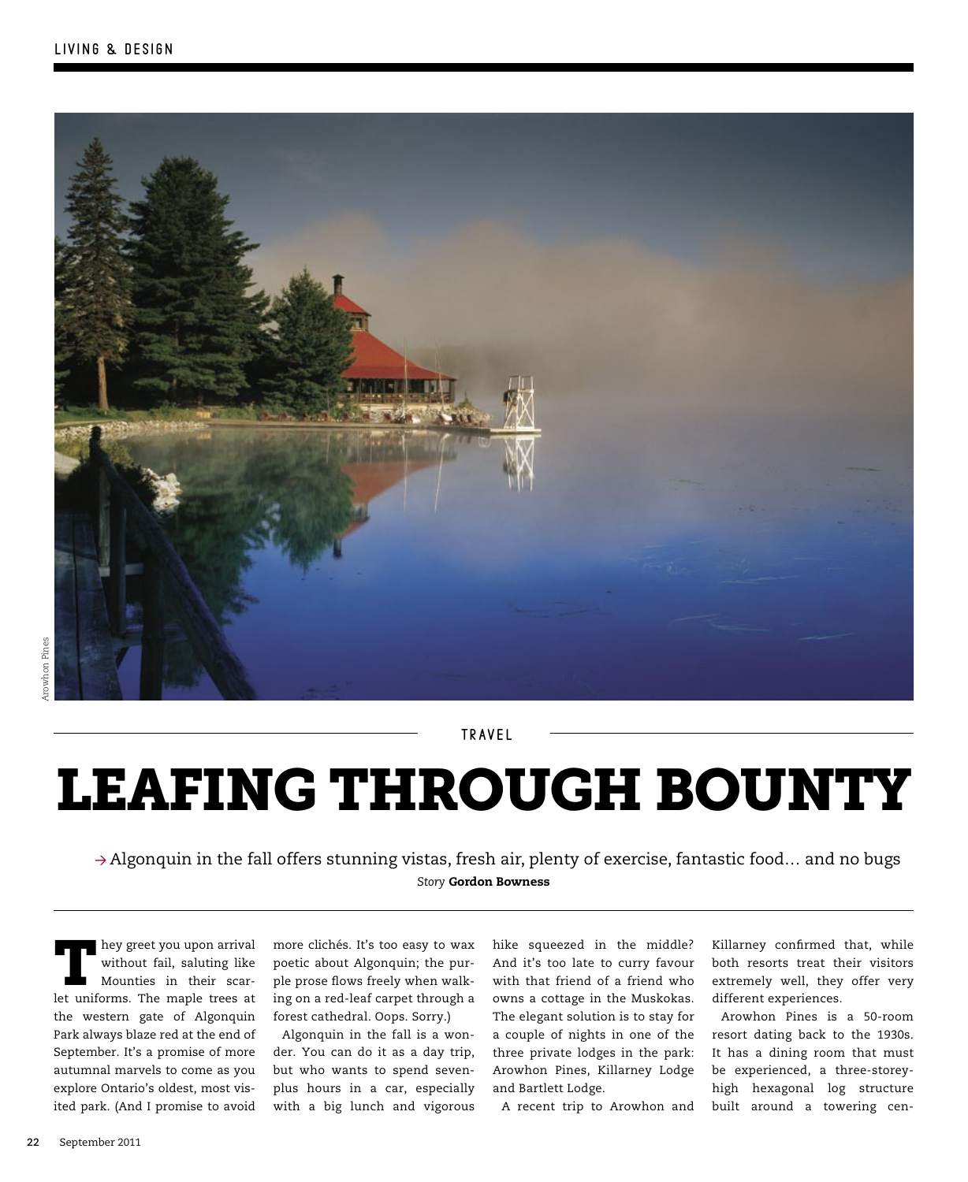

t ravel

# Leafing through bounty

 $\rightarrow$  Algonquin in the fall offers stunning vistas, fresh air, plenty of exercise, fantastic food... and no bugs *Story* Gordon Bowness

hey greet you upon arrival without fail, saluting like Mounties in their scarlet uniforms. The maple trees at the western gate of Algonquin Park always blaze red at the end of September. It's a promise of more autumnal marvels to come as you explore Ontario's oldest, most visited park. (And I promise to avoid

more clichés. It's too easy to wax poetic about Algonquin; the purple prose flows freely when walking on a red-leaf carpet through a forest cathedral. Oops. Sorry.)

Algonquin in the fall is a wonder. You can do it as a day trip, but who wants to spend sevenplus hours in a car, especially with a big lunch and vigorous

hike squeezed in the middle? And it's too late to curry favour with that friend of a friend who owns a cottage in the Muskokas. The elegant solution is to stay for a couple of nights in one of the three private lodges in the park: Arowhon Pines, Killarney Lodge and Bartlett Lodge.

A recent trip to Arowhon and

Killarney confirmed that, while both resorts treat their visitors extremely well, they offer very different experiences.

Arowhon Pines is a 50-room resort dating back to the 1930s. It has a dining room that must be experienced, a three-storeyhigh hexagonal log structure built around a towering cen-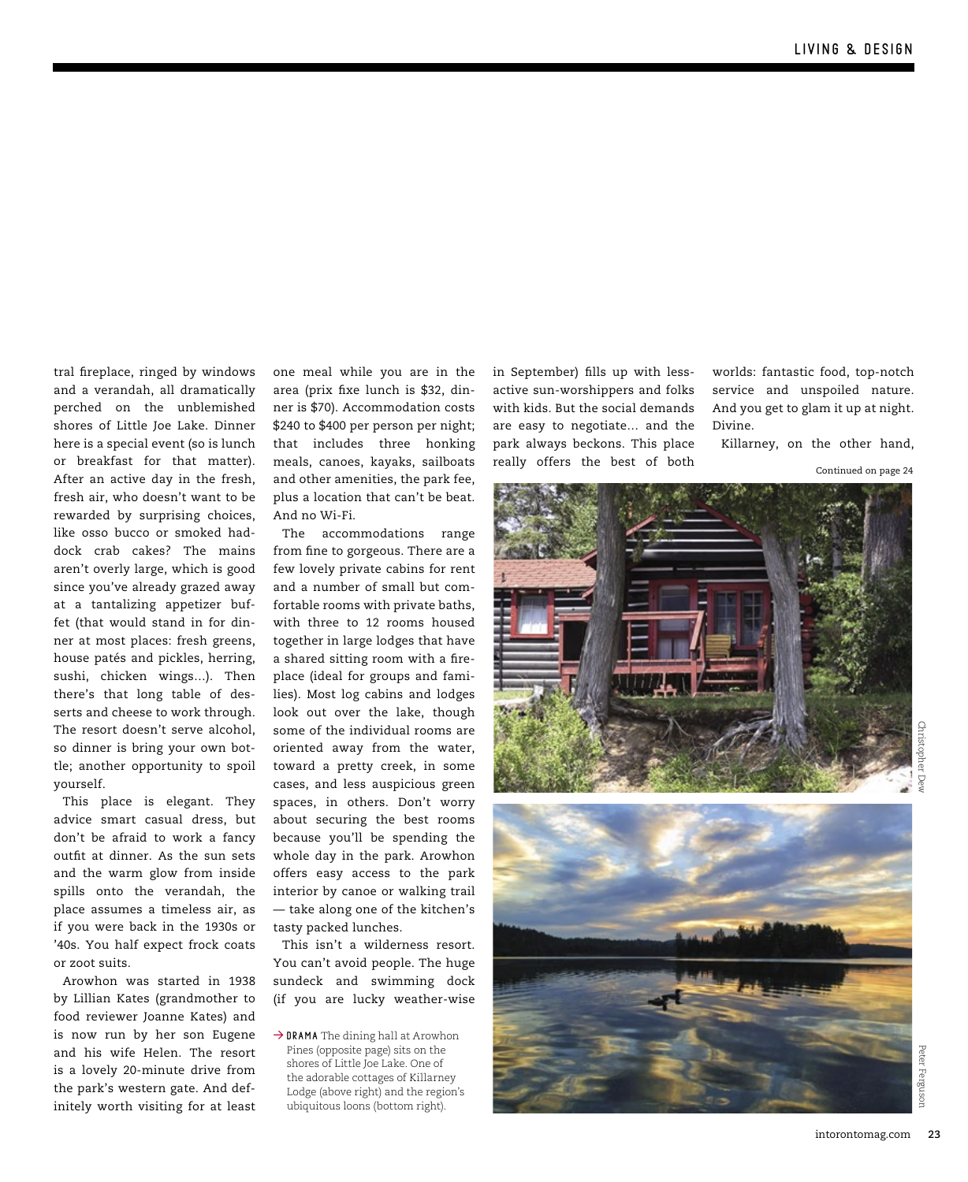tral fireplace, ringed by windows and a verandah, all dramatically perched on the unblemished shores of Little Joe Lake. Dinner here is a special event (so is lunch or breakfast for that matter). After an active day in the fresh, fresh air, who doesn't want to be rewarded by surprising choices, like osso bucco or smoked haddock crab cakes? The mains aren't overly large, which is good since you've already grazed away at a tantalizing appetizer buffet (that would stand in for dinner at most places: fresh greens, house patés and pickles, herring, sushi, chicken wings…). Then there's that long table of desserts and cheese to work through. The resort doesn't serve alcohol, so dinner is bring your own bottle; another opportunity to spoil yourself.

This place is elegant. They advice smart casual dress, but don't be afraid to work a fancy outfit at dinner. As the sun sets and the warm glow from inside spills onto the verandah, the place assumes a timeless air, as if you were back in the 1930s or '40s. You half expect frock coats or zoot suits.

Arowhon was started in 1938 by Lillian Kates (grandmother to food reviewer Joanne Kates) and is now run by her son Eugene and his wife Helen. The resort is a lovely 20-minute drive from the park's western gate. And definitely worth visiting for at least

one meal while you are in the area (prix fixe lunch is \$32, dinner is \$70). Accommodation costs \$240 to \$400 per person per night; that includes three honking meals, canoes, kayaks, sailboats and other amenities, the park fee, plus a location that can't be beat. And no Wi-Fi.

The accommodations range from fine to gorgeous. There are a few lovely private cabins for rent and a number of small but comfortable rooms with private baths, with three to 12 rooms housed together in large lodges that have a shared sitting room with a fireplace (ideal for groups and families). Most log cabins and lodges look out over the lake, though some of the individual rooms are oriented away from the water, toward a pretty creek, in some cases, and less auspicious green spaces, in others. Don't worry about securing the best rooms because you'll be spending the whole day in the park. Arowhon offers easy access to the park interior by canoe or walking trail — take along one of the kitchen's tasty packed lunches.

This isn't a wilderness resort. You can't avoid people. The huge sundeck and swimming dock (if you are lucky weather-wise

 $\rightarrow$  DRAMA The dining hall at Arowhon Pines (opposite page) sits on the shores of Little Joe Lake. One of the adorable cottages of Killarney Lodge (above right) and the region's ubiquitous loons (bottom right).

in September) fills up with lessactive sun-worshippers and folks with kids. But the social demands are easy to negotiate… and the park always beckons. This place really offers the best of both

worlds: fantastic food, top-notch service and unspoiled nature. And you get to glam it up at night. Divine.

Killarney, on the other hand,

Continued on page 24